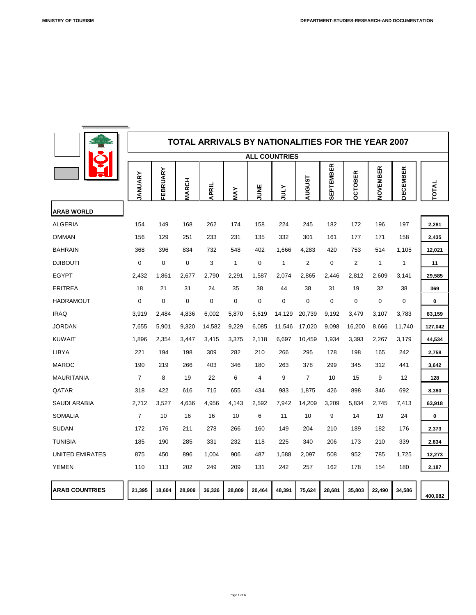

|                       |                |                |                |                  |             |                  |                      |                  |                  | <b>TOTAL ARRIVALS BY NATIONALITIES FOR THE YEAR 2007</b> |                      |                  |             |
|-----------------------|----------------|----------------|----------------|------------------|-------------|------------------|----------------------|------------------|------------------|----------------------------------------------------------|----------------------|------------------|-------------|
|                       |                |                |                |                  |             |                  | <b>ALL COUNTRIES</b> |                  |                  |                                                          |                      |                  |             |
|                       | <b>JANUARY</b> | FEBRUARY       | <b>MARCH</b>   | <b>APRIL</b>     | MAY         | UNE<br>J<br>┑    | <b>ATNC</b>          | <b>AUGUST</b>    | <b>SEPTEMBER</b> | <b>CTOBER</b><br>O                                       | NOVEMBER             | <b>DECEMBER</b>  | TOTAL       |
| <b>ARAB WORLD</b>     |                |                |                |                  |             |                  |                      |                  |                  |                                                          |                      |                  |             |
| <b>ALGERIA</b>        | 154            | 149            | 168            | 262              | 174         | 158              | 224                  | 245              | 182              | 172                                                      | 196                  | 197              | 2,281       |
| <b>OMMAN</b>          | 156            | 129            | 251            | 233              | 231         | 135              | 332                  | 301              | 161              | 177                                                      | 171                  | 158              | 2,435       |
| <b>BAHRAIN</b>        | 368            | 396            | 834            | 732              | 548         | 402              | 1,666                | 4,283            | 420              | 753                                                      | 514                  | 1,105            | 12,021      |
| <b>DJIBOUTI</b>       | $\overline{0}$ | $\overline{0}$ | $\overline{0}$ | 3                | 1           | $\overline{0}$   |                      | 2                | $\overline{0}$   | 2                                                        | $\blacktriangleleft$ |                  | 11          |
| <b>EGYPT</b>          | 2,432          | 1,861          | 2,677          | 2,790            | 2,291       | 1,587            | 2,074                | 2,865            | 2,446            | 2,812                                                    | 2,609                | 3,141            | 29,585      |
| <b>ERITREA</b>        | 18             | 21             | 31             | 24               | 35          | 38               | 44                   | 38               | 31               | 19                                                       | 32                   | 38               | 369         |
| <b>HADRAMOUT</b>      | $\overline{0}$ | $\overline{0}$ | $\overline{0}$ | $\boldsymbol{0}$ | $\mathbf 0$ | $\boldsymbol{0}$ | $\boldsymbol{0}$     | $\boldsymbol{0}$ | $\overline{0}$   | $\mathbf 0$                                              | $\boldsymbol{0}$     | $\boldsymbol{0}$ | $\mathbf 0$ |
| <b>IRAQ</b>           | 3,919          | 2,484          | 4,836          | 6,002            | 5,870       | 5,619            | 14,129               | 20,739           | 9,192            | 3,479                                                    | 3,107                | 3,783            | 83,159      |
| <b>JORDAN</b>         | 7,655          | 5,901          | 9,320          | 14,582           | 9,229       | 6,085            | 11,546               | 17,020           | 9,098            | 16,200                                                   | 8,666                | 11,740           | 127,042     |
| <b>KUWAIT</b>         | 1,896          | 2,354          | 3,447          | 3,415            | 3,375       | 2,118            | 6,697                | 10,459           | 1,934            | 3,393                                                    | 2,267                | 3,179            | 44,534      |
| <b>LIBYA</b>          | 221            | 194            | 198            | 309              | 282         | 210              | 266                  | 295              | 178              | 198                                                      | 165                  | 242              | 2,758       |
| <b>MAROC</b>          | 190            | 219            | 266            | 403              | 346         | 180              | 263                  | 378              | 299              | 345                                                      | 312                  | 441              | 3,642       |
| <b>MAURITANIA</b>     | $\overline{7}$ | 8              | 19             | 22               | 6           | $\overline{4}$   | 9                    | $\overline{7}$   | 10               | 15                                                       | 9                    | 12               | 128         |
| QATAR                 | 318            | 422            | 616            | 715              | 655         | 434              | 983                  | 1,875            | 426              | 898                                                      | 346                  | 692              | 8,380       |
| <b>SAUDI ARABIA</b>   | 2,712          | 3,527          | 4,636          | 4,956            | 4,143       | 2,592            | 7,942                | 14,209           | 3,209            | 5,834                                                    | 2,745                | 7,413            | 63,918      |
| <b>SOMALIA</b>        |                | 10             | 16             | 16               | 10          | 6                | 11                   | 10               | 9                | 14                                                       | 19                   | 24               | $\mathbf 0$ |
| <b>SUDAN</b>          | 172            | 176            | 211            | 278              | 266         | 160              | 149                  | 204              | 210              | 189                                                      | 182                  | 176              | 2,373       |
| <b>TUNISIA</b>        | 185            | 190            | 285            | 331              | 232         | 118              | 225                  | 340              | 206              | 173                                                      | 210                  | 339              | 2,834       |
| UNITED EMIRATES       | 875            | 450            | 896            | 1,004            | 906         | 487              | 1,588                | 2,097            | 508              | 952                                                      | 785                  | 1,725            | 12,273      |
| <b>YEMEN</b>          | 110            | 113            | 202            | 249              | 209         | 131              | 242                  | 257              | 162              | 178                                                      | 154                  | 180              | 2,187       |
| <b>ARAB COUNTRIES</b> | 21,395         | 18,604         | 28,909         | 36,326           | 28,809      | 20,464           | 48,391               | 75,624           | 28,681           | 35,803                                                   | 22,490               | 34,586           | 400,082     |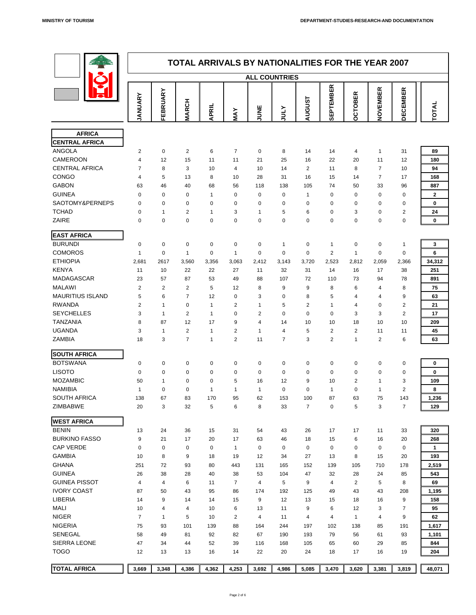

|                                        | <b>TOTAL ARRIVALS BY NATIONALITIES FOR THE YEAR 2007</b><br><b>ALL COUNTRIES</b> |                |                |                |                |                |                |                  |                  |                                    |                |                  |                  |  |
|----------------------------------------|----------------------------------------------------------------------------------|----------------|----------------|----------------|----------------|----------------|----------------|------------------|------------------|------------------------------------|----------------|------------------|------------------|--|
|                                        |                                                                                  |                |                |                |                |                |                |                  |                  |                                    |                |                  |                  |  |
|                                        | ANUARY                                                                           | FEBRUARY       | <b>MARCH</b>   | <b>APRIL</b>   | MAY            | <b>NE</b><br>⊃ | <b>ATIOL</b>   | <b>AUGUST</b>    | <b>SEPTEMBER</b> | OBER<br>$\mathbf C$<br>$\mathbf O$ | NOVEMBER       | <b>DECEMBER</b>  | TOTAL            |  |
|                                        |                                                                                  |                |                |                |                |                |                |                  |                  |                                    |                |                  |                  |  |
| <b>AFRICA</b><br><b>CENTRAL AFRICA</b> |                                                                                  |                |                |                |                |                |                |                  |                  |                                    |                |                  |                  |  |
| <b>ANGOLA</b>                          | $\overline{2}$                                                                   | $\overline{0}$ | $\overline{2}$ | 6              | $\overline{7}$ | $\overline{0}$ | 8              | 14               | 14               | $\overline{4}$                     | 1              | 31               | 89               |  |
| <b>CAMEROON</b>                        | $\overline{4}$                                                                   | 12             | 15             | 11             | 11             | 21             | 25             | 16               | 22               | 20                                 | 11             | 12               | 180              |  |
| <b>CENTRAL AFRICA</b>                  | $\overline{7}$                                                                   | 8              | 3 <sup>1</sup> | 10             | $\overline{4}$ | 10             | 14             | $\overline{2}$   | 11               | 8                                  | $\overline{7}$ | 10               | 94               |  |
| <b>CONGO</b>                           | 4                                                                                | 5              | 13             | 8              | 10             | 28             | 31             | 16               | 15               | 14                                 | $\overline{7}$ | 17               | 168              |  |
| <b>GABON</b>                           | 63                                                                               | 46             | 40             | 68             | 56             | 118            | 138            | 105              | 74               | 50                                 | 33             | 96               | 887              |  |
| <b>GUINEA</b>                          | $\overline{0}$                                                                   | $\overline{0}$ | $\overline{0}$ | $\overline{1}$ | $\overline{0}$ | $\overline{0}$ | $\overline{0}$ | $\overline{1}$   | $\overline{0}$   | $\overline{0}$                     | $\overline{0}$ | $\overline{0}$   | $\mathbf{2}$     |  |
| SAOTOMY&PERNEPS                        | $\overline{0}$                                                                   | $\overline{0}$ | $\overline{0}$ | $\overline{0}$ | $\overline{0}$ | $\overline{0}$ | $\overline{0}$ | $\overline{0}$   | $\overline{0}$   | $\overline{0}$                     | $\overline{0}$ | $\boldsymbol{0}$ | $\mathbf 0$      |  |
| <b>TCHAD</b>                           | $\Omega$                                                                         |                | $\overline{2}$ |                | 3              |                | 5              | 6                | $\overline{0}$   | 3                                  | $\overline{0}$ | $\overline{2}$   | 24               |  |
| <b>ZAIRE</b>                           | $\overline{0}$                                                                   | $\overline{0}$ | $\overline{0}$ | $\overline{0}$ | $\overline{0}$ | $\overline{0}$ | $\overline{0}$ | $\overline{0}$   | $\overline{0}$   | $\overline{0}$                     | $\overline{0}$ | $\mathbf 0$      | $\mathbf 0$      |  |
| <b>EAST AFRICA</b>                     |                                                                                  |                |                |                |                |                |                |                  |                  |                                    |                |                  |                  |  |
| <b>BURUNDI</b>                         |                                                                                  | $\overline{0}$ | $\overline{0}$ | $\overline{0}$ | $\Omega$       | $\overline{0}$ |                | $\overline{0}$   |                  | $\Omega$                           | $\overline{0}$ |                  | $\mathbf{3}$     |  |
| <b>COMOROS</b>                         |                                                                                  | $\overline{0}$ |                | $\overline{0}$ |                | $\overline{0}$ | $\overline{0}$ | $\overline{0}$   | $\overline{2}$   |                                    | $\overline{0}$ | $\boldsymbol{0}$ | $6\phantom{1}$   |  |
| <b>ETHIOPIA</b>                        | 2,681                                                                            | 2617           | 3,560          | 3,356          | 3,063          | 2,412          | 3,143          | 3,720            | 2,523            | 2,812                              | 2,059          | 2,366            | 34,312           |  |
| <b>KENYA</b>                           | 11                                                                               | 10             | 22             | 22             | 27             | 11             | 32             | 31               | 14               | 16                                 | 17             | 38               | 251              |  |
| <b>MADAGASCAR</b>                      | 23                                                                               | 57             | 87             | 53             | 49             | 88             | 107            | 72               | 110              | 73                                 | 94             | 78               | 891              |  |
| <b>MALAWI</b>                          | $\overline{2}$                                                                   | $\overline{2}$ | $\overline{2}$ | 5              | 12             | 8              | 9              | 9                | 8                | 6                                  | $\overline{4}$ | 8                | 75               |  |
| <b>MAURITIUS ISLAND</b>                | 5                                                                                | 6              | $\overline{7}$ | 12             | $\overline{0}$ | 3              | $\overline{0}$ | 8                | 5                | 4                                  | 4              | 9                | 63               |  |
| <b>RWANDA</b>                          |                                                                                  |                | $\overline{0}$ |                | 2              |                | 5              | $\overline{2}$   |                  | $\overline{4}$                     | $\overline{0}$ | 2                | 21               |  |
| <b>SEYCHELLES</b>                      | 3                                                                                |                | $\overline{2}$ |                | $\Omega$       | $\overline{2}$ | $\overline{0}$ | $\overline{0}$   | $\Omega$         | 3                                  | 3              | $\overline{2}$   | 17               |  |
| <b>TANZANIA</b>                        | 8                                                                                | 87             | 12             | 17             | 9              | 4              | 14             | 10               | 10               | 18                                 | 10             | 10               | 209              |  |
| <b>UGANDA</b>                          | 3                                                                                |                | $\overline{2}$ |                | $\overline{2}$ |                | 4              | 5                | 2                | $\overline{2}$                     | 11             | 11               | 45               |  |
| <b>ZAMBIA</b>                          | 18                                                                               | 3              |                |                | $\overline{2}$ | 11             | ⇁              | 3                | 2                |                                    | 2              | 6                | 63               |  |
| <b>SOUTH AFRICA</b>                    |                                                                                  |                |                |                |                |                |                |                  |                  |                                    |                |                  |                  |  |
| <b>BOTSWANA</b>                        | $\overline{0}$                                                                   | $\overline{0}$ | $\overline{0}$ | $\overline{0}$ | $\overline{0}$ | $\overline{0}$ | $\overline{0}$ | $\mathbf 0$      | $\overline{0}$   | $\overline{0}$                     | $\overline{0}$ | $\boldsymbol{0}$ | $\mathbf 0$      |  |
| <b>LISOTO</b>                          | $\overline{0}$                                                                   | $\overline{0}$ | $\overline{0}$ | $\overline{0}$ | $\overline{0}$ | $\overline{0}$ | $\overline{0}$ | $\boldsymbol{0}$ | $\mathbf 0$      | $\theta$                           | $\overline{0}$ | $\mathbf 0$      | $\boldsymbol{0}$ |  |
| <b>MOZAMBIC</b>                        | 50                                                                               |                | $\overline{0}$ | $\overline{0}$ | 5              | 16             | 12             | 9                | 10               | 2                                  |                | $\mathfrak{S}$   | 109              |  |
| <b>NAMIBIA</b>                         | 1                                                                                | $\overline{0}$ | $\overline{0}$ | 1              | 1              | $\mathbf 1$    | $\overline{0}$ | $\overline{0}$   |                  | $\overline{0}$                     |                | $\overline{2}$   | 8                |  |
| <b>SOUTH AFRICA</b>                    | 138                                                                              | 67             | 83             | 170            | 95             | 62             | 153            | 100              | 87               | 63                                 | 75             | 143              | 1,236            |  |
| <b>ZIMBABWE</b>                        | 20                                                                               | 3              | 32             | 5              | 6              | 8              | 33             | $\overline{7}$   | $\overline{0}$   | 5                                  | 3              | $\overline{7}$   | 129              |  |
| <b>WEST AFRICA</b>                     |                                                                                  |                |                |                |                |                |                |                  |                  |                                    |                |                  |                  |  |
| <b>BENIN</b>                           | 13                                                                               | 24             | 36             | 15             | 31             | 54             | 43             | 26               | 17               | 17                                 | 11             | 33               | 320              |  |
| <b>BURKINO FASSO</b>                   | 9                                                                                | 21             | 17             | 20             | 17             | 63             | 46             | 18               | 15               | 6                                  | 16             | 20               | 268              |  |
| <b>CAP VERDE</b>                       | $\overline{0}$                                                                   | $\overline{0}$ | $\overline{0}$ | $\overline{0}$ | $\mathbf 1$    | $\overline{0}$ | $\overline{0}$ | $\overline{0}$   | $\overline{0}$   | $\overline{0}$                     | $\overline{0}$ | $\boldsymbol{0}$ | $\mathbf 1$      |  |
| <b>GAMBIA</b>                          | 10                                                                               | 8              | 9              | 18             | 19             | 12             | 34             | 27               | 13               | 8                                  | 15             | 20               | 193              |  |
| <b>GHANA</b>                           | 251                                                                              | 72             | 93             | 80             | 443            | 131            | 165            | 152              | 139              | 105                                | 710            | 178              | 2,519            |  |
| <b>GUINEA</b>                          | 26                                                                               | 38             | 28             | 40             | 38             | 53             | 104            | 47               | 32               | 28                                 | 24             | 85               | 543              |  |
| <b>GUINEA PISSOT</b>                   | $\overline{4}$                                                                   | 4              | 6              | 11             | $\overline{7}$ | $\overline{4}$ | 5              | 9                | 4                | $\overline{2}$                     | 5              | 8                | 69               |  |
| <b>IVORY COAST</b>                     | 87                                                                               | 50             | 43             | 95             | 86             | 174            | 192            | 125              | 49               | 43                                 | 43             | 208              | 1,195            |  |
| <b>LIBERIA</b>                         | 14                                                                               | 9              | 14             | 14             | 15             | 9              | 12             | 13               | 15               | 18                                 | 16             | 9                | 158              |  |
| <b>MALI</b>                            | 10                                                                               | $\overline{4}$ | $\overline{4}$ | 10             | 6              | 13             | 11             | 9                | 6                | 12                                 | $\mathbf{3}$   | $\overline{7}$   | 95               |  |
| <b>NIGER</b>                           | $\overline{7}$                                                                   | $\mathbf 1$    | 5              | 10             | $\overline{2}$ | $\overline{4}$ | 11             | $\overline{4}$   | $\overline{4}$   | $\blacktriangleleft$               | $\overline{4}$ | 9                | 62               |  |
| <b>NIGERIA</b>                         | 75                                                                               | 93             | 101            | 139            | 88             | 164            | 244            | 197              | 102              | 138                                | 85             | 191              | 1,617            |  |
| <b>SENEGAL</b>                         | 58                                                                               | 49             | 81             | 92             | 82             | 67             | 190            | 193              | 79               | 56                                 | 61             | 93               | 1,101            |  |
| <b>SIERRA LEONE</b>                    | 47                                                                               | 34             | 44             | 52             | 39             | 116            | 168            | 105              | 65               | 60                                 | 29             | 85               | 844              |  |
| <b>TOGO</b>                            | 12                                                                               | 13             | 13             | 16             | 14             | 22             | 20             | 24               | 18               | 17                                 | 16             | 19               | 204              |  |
| <b>TOTAL AFRICA</b>                    | 3,669                                                                            | 3,348          | 4,386          | 4,362          | 4,253          | 3,692          | 4,986          | 5,085            | 3,470            | 3,620                              | 3,381          | 3,819            | 48,071           |  |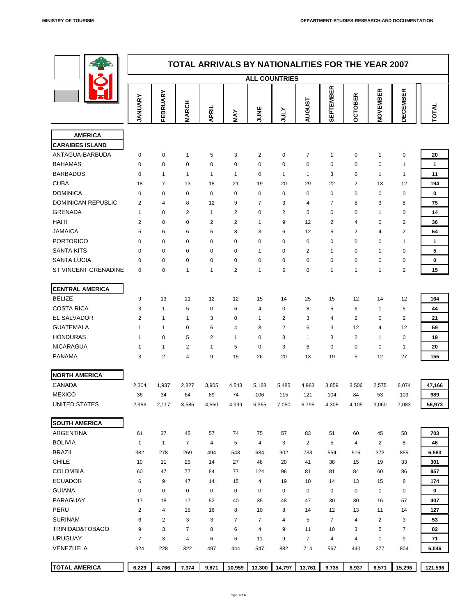

|                           | <b>TOTAL ARRIVALS BY NATIONALITIES FOR THE YEAR 2007</b><br><b>ALL COUNTRIES</b> |                         |                |                      |                |                |                |                         |                                                        |                |                  |                 |                  |
|---------------------------|----------------------------------------------------------------------------------|-------------------------|----------------|----------------------|----------------|----------------|----------------|-------------------------|--------------------------------------------------------|----------------|------------------|-----------------|------------------|
|                           |                                                                                  |                         |                |                      |                |                |                |                         |                                                        |                |                  |                 |                  |
|                           | ANUARY                                                                           | EBRUARY<br>ப            | <b>MARCH</b>   | <b>APRIL</b>         | MAY            | <b>UNE</b>     | <b>ATNLY</b>   | <b>AUGUST</b>           | <b>TEMBER</b><br>$\overline{\mathbf{a}}$<br><b>可SS</b> | <b>OCTOBER</b> | NOVEMBER         | <b>DECEMBER</b> | TOTAI            |
| <b>AMERICA</b>            |                                                                                  |                         |                |                      |                |                |                |                         |                                                        |                |                  |                 |                  |
| <b>CARAIBES ISLAND</b>    |                                                                                  |                         |                |                      |                |                |                |                         |                                                        |                |                  |                 |                  |
| ANTAGUA-BARBUDA           | $\Omega$                                                                         | $\overline{0}$          |                | $5\overline{)}$      | 3              | 2              | $\overline{0}$ | $\overline{7}$          |                                                        | $\overline{0}$ |                  | $\overline{0}$  | <b>20</b>        |
| <b>BAHAMAS</b>            | $\overline{0}$                                                                   | $\overline{0}$          | $\overline{0}$ | $\theta$             | $\overline{0}$ | $\overline{0}$ | $\overline{0}$ | $\overline{0}$          | $\overline{0}$                                         | $\overline{0}$ | $\boldsymbol{0}$ |                 |                  |
| <b>BARBADOS</b>           | $\Omega$                                                                         | $\overline{\mathbf{A}}$ |                | $\blacktriangleleft$ |                | $\overline{0}$ | 1              | $\overline{\mathbf{A}}$ | $\mathbf{3}$                                           | $\overline{0}$ |                  |                 | 11               |
| <b>CUBA</b>               | 18                                                                               | $\overline{7}$          | 13             | 18                   | 21             | 19             | 20             | 29                      | 22                                                     | $\overline{2}$ | 13               | 12              | 194              |
| <b>DOMINICA</b>           | $\Omega$                                                                         | $\overline{0}$          | $\overline{0}$ | $\overline{0}$       | $\overline{0}$ | $\overline{0}$ | $\overline{0}$ | $\overline{0}$          | $\Omega$                                               | $\overline{0}$ | $\overline{0}$   | $\overline{0}$  | $\boldsymbol{0}$ |
| <b>DOMINICAN REPUBLIC</b> | $\sim$                                                                           | $\overline{4}$          | 8              | 12                   | 9              |                | $\sim$<br>3    | $\overline{4}$          | $\overline{\phantom{0}}$                               | 8              | $\sim$<br>J.     | 8               | 75               |
| <b>GRENADA</b>            |                                                                                  | $\overline{0}$          | $\overline{2}$ |                      | $\overline{2}$ | $\overline{0}$ | $\overline{2}$ | 5                       | $\overline{0}$                                         | $\overline{0}$ |                  | $\overline{0}$  | 14               |
| <b>HAITI</b>              | $\overline{2}$                                                                   | $\overline{0}$          | $\overline{0}$ | 2                    | $\overline{2}$ |                | 9              | 12                      | $\overline{2}$                                         | 4              | $\overline{0}$   | 2               | 36               |
| <b>JAMAICA</b>            | 5                                                                                | 6                       | 6              | 5                    | 8              | 3              | 6              | 12                      | 5                                                      | 2              | 4                | 2               | 64               |
| <b>PORTORICO</b>          | $\Omega$                                                                         | $\overline{0}$          | $\overline{0}$ | $\overline{0}$       | $\overline{0}$ | $\overline{0}$ | $\overline{0}$ | $\overline{0}$          | $\overline{0}$                                         | $\overline{0}$ | $\mathbf{0}$     |                 |                  |
| <b>SANTA KITS</b>         | $\Omega$                                                                         | $\overline{0}$          | $\overline{0}$ | $\overline{0}$       | $\overline{0}$ |                | $\overline{0}$ | $\overline{2}$          | -1                                                     | $\overline{0}$ |                  | $\overline{0}$  | $5\overline{)}$  |
| <b>SANTA LUCIA</b>        | $\overline{0}$                                                                   | $\overline{0}$          | $\overline{0}$ | $\boldsymbol{0}$     | $\overline{0}$ | $\overline{0}$ | $\overline{0}$ | $\overline{0}$          | $\overline{0}$                                         | $\overline{0}$ | $\overline{0}$   | $\overline{0}$  | $\boldsymbol{0}$ |
| ST VINCENT GRENADINE      | $\overline{0}$                                                                   | $\overline{0}$          |                |                      | $\overline{2}$ |                | 5              | $\boldsymbol{0}$        |                                                        |                |                  | 2               | 15               |

**CENTRAL AMERICA**

| <b>BELIZE</b>              | 9                       | 13             | 11             | 12               | 12              | 15             | 14             | 25             | 15             | 12             | 14             | 12               | 164         |
|----------------------------|-------------------------|----------------|----------------|------------------|-----------------|----------------|----------------|----------------|----------------|----------------|----------------|------------------|-------------|
| <b>COSTA RICA</b>          | 3                       |                | 5              | $\overline{0}$   | 6               | $\overline{4}$ | $\overline{0}$ | 8              | 5              | 6              | 1              | 5                | 44          |
| <b>EL SALVADOR</b>         | $\overline{2}$          |                |                | $\mathfrak{S}$   | $\overline{0}$  |                | 2              | $\mathfrak{S}$ | 4              | $\overline{2}$ | $\overline{0}$ | $\overline{2}$   | 21          |
| <b>GUATEMALA</b>           | $\overline{\mathbf{A}}$ |                | $\overline{0}$ | 6                | $\overline{4}$  | 8              | $\overline{2}$ | 6              | $\mathbf{3}$   | 12             | 4              | 12               | 59          |
| <b>HONDURAS</b>            |                         | $\mathbf 0$    | 5              | $\overline{2}$   |                 | $\mathbf 0$    | 3              |                | 3              | $\overline{2}$ | -1             | $\overline{0}$   | 19          |
| <b>NICARAGUA</b>           | $\overline{\mathbf{A}}$ |                | $\overline{2}$ | 1                | 5               | $\mathbf 0$    | 3              | 6              | $\overline{0}$ | $\overline{0}$ | $\overline{0}$ | 1                | 20          |
| <b>PANAMA</b>              | 3                       | $\overline{2}$ | 4              | 9                | 15              | 26             | 20             | 13             | 19             | 5              | 12             | 27               | 155         |
| <b>NORTH AMERICA</b>       |                         |                |                |                  |                 |                |                |                |                |                |                |                  |             |
| <b>CANADA</b>              | 2,304                   | 1,937          | 2,827          | 3,905            | 4,543           | 5,188          | 5,485          | 4,963          | 3,859          | 3,506          | 2,575          | 6,074            | 47,166      |
| <b>MEXICO</b>              | 36                      | 34             | 64             | 89               | 74              | 106            | 115            | 121            | 104            | 84             | 53             | 109              | 989         |
| <b>UNITED STATES</b>       | 2,956                   | 2,117          | 3,585          | 4,550            | 4,999           | 6,365          | 7,050          | 6,795          | 4,308          | 4,105          | 3,060          | 7,083            | 56,973      |
| <b>SOUTH AMERICA</b>       |                         |                |                |                  |                 |                |                |                |                |                |                |                  |             |
| <b>ARGENTINA</b>           | 61                      | 37             | 45             | 57               | 74              | 75             | 57             | 83             | 51             | 60             | 45             | 58               | 703         |
| <b>BOLIVIA</b>             |                         |                |                | $\overline{4}$   | $5\overline{)}$ | $\overline{4}$ | $\mathbf{3}$   | 2              | 5              | 4              | 2              | 8                | 46          |
| <b>BRAZIL</b>              | 382                     | 278            | 269            | 494              | 543             | 684            | 902            | 733            | 554            | 516            | 373            | 855              | 6,583       |
| <b>CHILE</b>               | 10                      | 11             | 25             | 14               | 27              | 48             | 20             | 41             | 38             | 15             | 19             | 33               | 301         |
| <b>COLOMBIA</b>            | 60                      | 47             | 77             | 84               | 77              | 124            | 96             | 81             | 81             | 84             | 60             | 86               | 957         |
| <b>ECUADOR</b>             | 6                       | 9              | 47             | 14               | 15              | $\overline{4}$ | 19             | 10             | 14             | 13             | 15             | 8                | 174         |
| <b>GUIANA</b>              | $\boldsymbol{0}$        | $\overline{0}$ | $\overline{0}$ | $\boldsymbol{0}$ | $\overline{0}$  | $\overline{0}$ | $\overline{0}$ | $\mathbf 0$    | $\overline{0}$ | $\overline{0}$ | $\overline{0}$ | $\boldsymbol{0}$ | $\mathbf 0$ |
| <b>PARAGUAY</b>            | 17                      | 18             | 17             | 52               | 40              | 35             | 48             | 47             | 30             | 30             | 16             | 57               | 407         |
| <b>PERU</b>                | $\overline{2}$          | 4              | 15             | 16               | 8               | 10             | 8              | 14             | 12             | 13             | 11             | 14               | 127         |
| <b>SURINAM</b>             | $6\phantom{1}6$         | $\overline{2}$ | 3              | $\mathfrak{S}$   | $\overline{7}$  | $\overline{7}$ | $\overline{4}$ | 5              | $\overline{7}$ | 4              | $\overline{2}$ | $\mathbf{3}$     | 53          |
| <b>TRINIDAD&amp;TOBAGO</b> | 9                       | 3              | $\overline{7}$ | 8                | $6\phantom{1}$  | $\overline{4}$ | 9              | 11             | 10             | 3              | 5              | $\overline{7}$   | 82          |
| <b>URUGUAY</b>             | $\overline{7}$          | 3              | $\overline{4}$ | $6\phantom{1}$   | 6               | 11             | 9              | $\overline{7}$ | $\overline{4}$ | 4              | $\mathbf 1$    | 9                | 71          |
| <b>VENEZUELA</b>           | 324                     | 228            | 322            | 497              | 444             | 547            | 882            | 714            | 567            | 440            | 277            | 804              | 6,046       |
|                            |                         |                |                |                  |                 |                |                |                |                |                |                |                  |             |
| <b>TOTAL AMERICA</b>       | 6,229                   | 4,766          | 7,374          | 9,871            | 10,959          | 13,300         | 14,797         | 13,761         | 9,735          | 8,937          | 6,571          | 15,296           | 121,596     |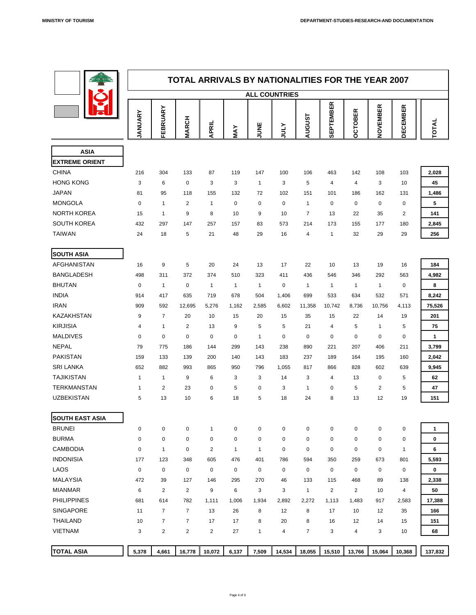

|                                      | <b>TOTAL ARRIVALS BY NATIONALITIES FOR THE YEAR 2007</b><br><b>ALL COUNTRIES</b> |                       |                 |                |                |                |                  |                         |                  |                                                    |                          |                 |                  |
|--------------------------------------|----------------------------------------------------------------------------------|-----------------------|-----------------|----------------|----------------|----------------|------------------|-------------------------|------------------|----------------------------------------------------|--------------------------|-----------------|------------------|
|                                      |                                                                                  |                       |                 |                |                |                |                  |                         |                  |                                                    |                          |                 |                  |
|                                      | ANUARY                                                                           | FEBRUARY              | <b>MARCH</b>    | <b>APRIL</b>   | MAY            | <b>JUNE</b>    | <b>ATNC</b>      | <b>AUGUST</b>           | <b>SEPTEMBER</b> | <b>TOBER</b><br>$\ddot{\mathbf{C}}$<br>$\mathbf O$ | VEMBER<br>$\overline{Q}$ | <b>DECEMBER</b> | <b>TOTAL</b>     |
|                                      |                                                                                  |                       |                 |                |                |                |                  |                         |                  |                                                    |                          |                 |                  |
| <b>ASIA</b><br><b>EXTREME ORIENT</b> |                                                                                  |                       |                 |                |                |                |                  |                         |                  |                                                    |                          |                 |                  |
| <b>CHINA</b>                         | 216                                                                              | 304                   | 133             | 87             | 119            | 147            | 100              | 106                     | 463              | 142                                                | 108                      | 103             | 2,028            |
| <b>HONG KONG</b>                     | $\mathbf{3}$                                                                     | 6                     | $\overline{0}$  | 3              | 3              | 1              | 3                | 5                       | $\overline{4}$   | $\overline{4}$                                     | 3                        | 10              | 45               |
| <b>JAPAN</b>                         | 81                                                                               | 95                    | 118             | 155            | 132            | 72             | 102              | 151                     | 101              | 186                                                | 162                      | 131             | 1,486            |
| <b>MONGOLA</b>                       | $\overline{0}$                                                                   | $\mathbf 1$           | 2               | $\mathbf 1$    | $\overline{0}$ | $\overline{O}$ | $\overline{0}$   | $\mathbf 1$             | $\overline{0}$   | $\overline{0}$                                     | $\overline{0}$           | $\overline{0}$  | 5                |
| <b>NORTH KOREA</b>                   | 15                                                                               |                       | 9               | 8              | 10             | 9              | 10               | $\overline{7}$          | 13               | 22                                                 | 35                       | $\overline{2}$  | 141              |
| <b>SOUTH KOREA</b>                   | 432                                                                              | 297                   | 147             | 257            | 157            | 83             | 573              | 214                     | 173              | 155                                                | 177                      | 180             | 2,845            |
| <b>TAIWAN</b>                        | 24                                                                               | 18                    | 5               | 21             | 48             | 29             | 16               | 4                       |                  | 32                                                 | 29                       | 29              | 256              |
|                                      |                                                                                  |                       |                 |                |                |                |                  |                         |                  |                                                    |                          |                 |                  |
| <b>SOUTH ASIA</b>                    |                                                                                  |                       |                 |                |                |                |                  |                         |                  |                                                    |                          |                 |                  |
| <b>AFGHANISTAN</b>                   | 16                                                                               | 9                     | 5               | 20             | 24             | 13             | 17               | 22                      | 10               | 13                                                 | 19                       | 16              | 184              |
| <b>BANGLADESH</b>                    | 498                                                                              | 311                   | 372             | 374            | 510            | 323            | 411              | 436                     | 546              | 346                                                | 292                      | 563             | 4,982            |
| <b>BHUTAN</b>                        | $\overline{0}$                                                                   | $\mathbf 1$           | $\mathbf 0$     | $\mathbf 1$    | $\mathbf 1$    | 1              | $\boldsymbol{0}$ | 1                       | $\mathbf 1$      |                                                    |                          | $\overline{0}$  | 8                |
| <b>INDIA</b>                         | 914                                                                              | 417                   | 635             | 719            | 678            | 504            | 1,406            | 699                     | 533              | 634                                                | 532                      | 571             | 8,242            |
| <b>IRAN</b>                          | 909                                                                              | 592                   | 12,695          | 5,276          | 1,162          | 2,585          | 6,602            | 11,358                  | 10,742           | 8,736                                              | 10,756                   | 4,113           | 75,526           |
| <b>KAZAKHSTAN</b>                    | 9                                                                                | $\overline{7}$        | 20              | 10             | 15             | 20             | 15               | 35                      | 15               | 22                                                 | 14                       | 19              | 201              |
| <b>KIRJISIA</b>                      | $\overline{4}$                                                                   | $\blacktriangleleft$  | 2               | 13             | 9              | 5              | 5                | 21                      | $\overline{4}$   | 5                                                  |                          | 5               | 75               |
| <b>MALDIVES</b>                      | $\overline{0}$                                                                   | $\mathbf 0$           | $\overline{0}$  | $\overline{0}$ | $\theta$       | $\overline{1}$ | $\overline{0}$   | $\overline{0}$          | $\overline{0}$   | $\overline{0}$                                     | $\overline{0}$           | $\overline{0}$  | 1                |
| <b>NEPAL</b>                         | 79                                                                               | 775                   | 186             | 144            | 299            | 143            | 238              | 890                     | 221              | 207                                                | 406                      | 211             | 3,799            |
| <b>PAKISTAN</b>                      | 159                                                                              | 133                   | 139             | 200            | 140            | 143            | 183              | 237                     | 189              | 164                                                | 195                      | 160             | 2,042            |
| <b>SRI LANKA</b>                     | 652                                                                              | 882                   | 993             | 865            | 950            | 796            | 1,055            | 817                     | 866              | 828                                                | 602                      | 639             | 9,945            |
| <b>TAJIKISTAN</b>                    |                                                                                  | $\mathbf 1$           | 9               | 6              | 3              | $\overline{3}$ | 14               | $3\overline{3}$         | $\overline{4}$   | 13                                                 | $\overline{0}$           | 5               | 62               |
| <b>TERKMANSTAN</b>                   |                                                                                  | $\overline{2}$        | 23              | $\overline{0}$ | 5              | $\overline{0}$ | 3                | 1                       | $\overline{0}$   | 5                                                  | $\overline{2}$           | 5               | 47               |
| <b>UZBEKISTAN</b>                    | $5\overline{)}$                                                                  | 13                    | 10              | 6              | 18             | 5              | 18               | 24                      | 8                | 13                                                 | 12                       | 19              | 151              |
|                                      |                                                                                  |                       |                 |                |                |                |                  |                         |                  |                                                    |                          |                 |                  |
| <b>SOUTH EAST ASIA</b>               |                                                                                  |                       |                 |                |                |                |                  |                         |                  |                                                    |                          |                 |                  |
| <b>BRUNEI</b>                        | $\overline{0}$                                                                   | $\overline{0}$        | $\overline{0}$  | $\mathbf 1$    | $\overline{0}$ | $\overline{0}$ | $\overline{0}$   | $\overline{0}$          | $\overline{0}$   | $\overline{0}$                                     | $\overline{0}$           | $\overline{0}$  | 1                |
| <b>BURMA</b>                         | $\overline{0}$                                                                   | $\overline{0}$        | $\overline{0}$  | $\overline{0}$ | $\theta$       | $\overline{0}$ | $\overline{0}$   | $\overline{0}$          | $\overline{0}$   | $\overline{0}$                                     | $\overline{0}$           | $\overline{0}$  | $\boldsymbol{0}$ |
| <b>CAMBODIA</b>                      | $\mathbf 0$                                                                      | 1                     | $\overline{0}$  | $\overline{2}$ | 1              | 1              | $\overline{0}$   | $\mathbf 0$             | $\overline{0}$   | $\overline{0}$                                     | $\overline{0}$           |                 | $6\phantom{1}$   |
| <b>INDONISIA</b>                     | 177                                                                              | 123                   | 348             | 605            | 476            | 401            | 786              | 594                     | 350              | 259                                                | 673                      | 801             | 5,593            |
| <b>LAOS</b>                          | $\overline{0}$                                                                   | $\overline{O}$        | $\overline{0}$  | $\overline{0}$ | $\overline{0}$ | $\overline{0}$ | $\overline{0}$   | $\overline{0}$          | $\overline{0}$   | $\overline{0}$                                     | $\overline{0}$           | $\overline{0}$  | $\mathbf 0$      |
| <b>MALAYSIA</b>                      | 472                                                                              | 39                    | 127             | 146            | 295            | 270            | 46               | 133                     | 115              | 468                                                | 89                       | 138             | 2,338            |
| <b>MIANMAR</b>                       | 6                                                                                | $\overline{2}$        | $\overline{2}$  | 9              | 6              | 3              | $\mathbf{3}$     | $\overline{\mathbf{1}}$ | $\overline{2}$   | 2                                                  | 10                       | $\overline{4}$  | 50               |
| <b>PHILIPPINES</b>                   | 681                                                                              | 614<br>$\overline{7}$ | 782<br>7        | 1,111          | 1,006          | 1,934          | 2,892            | 2,272                   | 1,113            | 1,483                                              | 917                      | 2,583           | 17,388           |
| <b>SINGAPORE</b>                     | 11                                                                               |                       |                 | 13             | 26             | 8              | 12               | 8                       | 17               | 10                                                 | 12                       | 35              | 166              |
| <b>THAILAND</b>                      | 10                                                                               | $\overline{7}$        | $\overline{7}$  | 17             | 17             | 8              | 20               | 8                       | 16               | 12                                                 | 14                       | 15              | 151              |
| <b>VIETNAM</b>                       | $3\overline{3}$                                                                  | $\overline{2}$        | $2\overline{ }$ | $\overline{2}$ | 27             | $\mathbf 1$    | $\overline{4}$   | $\overline{7}$          | $\mathbf{3}$     | $\overline{4}$                                     | $3\phantom{a}$           | 10              | 68               |
| <b>TOTAL ASIA</b>                    | 5,378                                                                            | 4,661                 | 16,778          | 10,072         | 6,137          | 7,509          | 14,534           | 18,055                  | 15,510           | 13,766                                             | 15,064                   | 10,368          | 137,832          |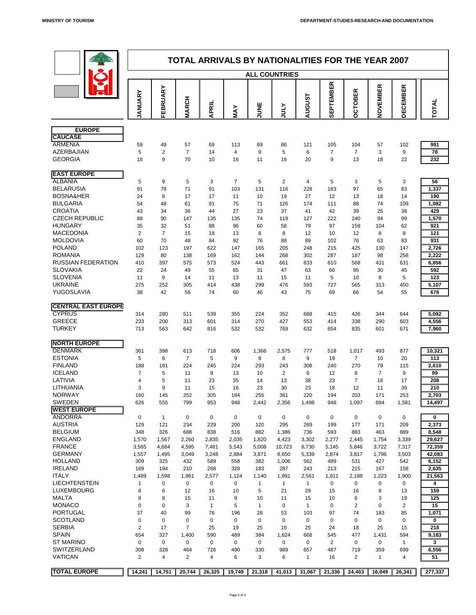

|                                       | <b>TOTAL ARRIVALS BY NATIONALITIES FOR THE YEAR 2007</b><br><b>ALL COUNTRIES</b> |                      |                  |                |                       |                |                                  |                       |                      |                      |                       |                      |                 |
|---------------------------------------|----------------------------------------------------------------------------------|----------------------|------------------|----------------|-----------------------|----------------|----------------------------------|-----------------------|----------------------|----------------------|-----------------------|----------------------|-----------------|
|                                       |                                                                                  |                      |                  |                |                       |                |                                  |                       |                      |                      |                       |                      |                 |
|                                       |                                                                                  | ARY                  |                  |                |                       |                |                                  |                       | <b>SEPTEMBER</b>     | <u>ừ</u><br>OBEI     | NOVEMBER              | <b>DECEMBER</b>      |                 |
|                                       | ANUARY                                                                           | FEBRU                | <b>ARCH</b><br>Σ | <b>APRIL</b>   | MAY                   | UNE            | $\blacktriangleright$<br>∟<br>בט | <b>AUGUST</b>         |                      | ں<br>O               |                       |                      | TOTAL           |
| <b>EUROPE</b>                         |                                                                                  |                      |                  |                |                       |                |                                  |                       |                      |                      |                       |                      |                 |
| <b>CAUCASE</b><br><b>ARMENIA</b>      | 59                                                                               | 49                   | 57               | 69             | 113                   | 69             | 86                               | 121                   | 105                  | 104                  | 57                    | 102                  | 991             |
| <b>AZERBAJIAN</b>                     | 5                                                                                | $\overline{2}$       |                  | 14             | $\overline{4}$        | 9              | 5                                | 6                     | $\overline{7}$       | $\overline{7}$       | $\mathbf{3}$          | 9                    | 78              |
| <b>GEORGIA</b>                        | 18                                                                               | 9                    | 70               | 10             | 16                    | 11             | 16                               | 20                    | 9                    | 13                   | 18                    | 22                   | 232             |
| <b>EAST EUROPE</b><br><b>ALBANIA</b>  |                                                                                  |                      |                  |                | $\overline{7}$        |                |                                  |                       |                      |                      |                       |                      |                 |
| <b>BELARUSIA</b>                      | 5<br>91                                                                          | 9<br>78              | 5<br>71          | 3<br>91        | 103                   | 5<br>131       | $\overline{2}$<br>116            | 4<br>228              | 5<br>183             | 3<br>97              | 5<br>65               | 3<br>83              | 56<br>1,337     |
| <b>BOSNA&amp;HER</b>                  | 24                                                                               | 8                    | 17               | 17             | 11                    | 10             | 19                               | 27                    | 12                   | 13                   | 18                    | 14                   | 190             |
| <b>BULGARIA</b>                       | 54                                                                               | 48                   | 61               | 91             | 75                    | 71             | 126                              | 174                   | 111                  | 88                   | 74                    | 109                  | 1,082           |
| <b>CROATIA</b>                        | 43                                                                               | 34                   | 36               | 44             | 27                    | 23             | 37                               | 41                    | 42                   | 39                   | 25                    | 38                   | 429             |
| <b>CZECH REPUBLIC</b>                 | 88                                                                               | 90                   | 147              | 135            | 135                   | 74             | 119                              | 127                   | 222                  | 240                  | 94                    | 99                   | 1,570           |
| <b>HUNGARY</b>                        | 35                                                                               | 32                   | 51               | 88             | 96                    | 60             | 58                               | 79                    | 97                   | 159                  | 104                   | 62                   | 921             |
| <b>MACEDONIA</b><br><b>MOLDOVIA</b>   | 2<br>60                                                                          | $\overline{7}$<br>70 | 15<br>48         | 18<br>84       | 13<br>92              | 8<br>76        | 8<br>88                          | 12<br>89              | 10<br>102            | 12<br>76             | 8<br>63               | 8<br>83              | 121<br>931      |
| <b>POLAND</b>                         | 102                                                                              | 123                  | 197              | 622            | 147                   | 165            | 205                              | 248                   | 215                  | 425                  | 130                   | 147                  | 2,726           |
| <b>ROMANIA</b>                        | 129                                                                              | 80                   | 138              | 169            | 162                   | 144            | 268                              | 302                   | 287                  | 187                  | 98                    | 258                  | 2,222           |
| <b>RUSSIAN FEDERATION</b>             | 410                                                                              | 397                  | 575              | 573            | 524                   | 443            | 661                              | 833                   | 810                  | 568                  | 431                   | 631                  | 6,856           |
| <b>SLOVAKIA</b>                       | 22                                                                               | 24                   | 49               | 55             | 65                    | 31             | 47                               | 63                    | 66                   | 95                   | 30                    | 45                   | 592             |
| <b>SLOVENIA</b>                       | 11                                                                               | 9                    | 14               | 11             | 13                    | 11             | 15                               | 11                    | 5                    | 10                   | 8                     | 5                    | 123             |
| <b>UKRAINE</b><br>YUGOSLAVIA          | 275<br>38                                                                        | 252<br>42            | 305<br>56        | 414<br>74      | 438<br>60             | 299<br>46      | 476<br>43                        | 593<br>75             | 727<br>69            | 565<br>66            | 313<br>54             | 450<br>55            | 5,107<br>678    |
| <b>CENTRAL EAST EUROPE</b>            |                                                                                  |                      |                  |                |                       |                |                                  |                       |                      |                      |                       |                      |                 |
| <b>CYPRUS</b>                         | 314                                                                              | 280                  | 511              | 539            | 355                   | 224            | 352                              | 688                   | 415                  | 426                  | 344                   | 644                  | 5,092           |
| <b>GREECE</b>                         | 233                                                                              | 200                  | 313              | 601            | 314                   | 270            | 427                              | 553                   | 414                  | 338                  | 290                   | 603                  | 4,556           |
| <b>TURKEY</b>                         | 713                                                                              | 563                  | 642              | 816            | 532                   | 532            | 769                              | 632                   | 654                  | 835                  | 601                   | 671                  | 7,960           |
| <b>NORTH EUROPE</b><br><b>DENMARK</b> | 361                                                                              | 398                  | 613              | 718            | 606                   | 1,368          | 2,575                            | 777                   | 518                  | 1,017                | 493                   | 877                  | 10,321          |
| <b>ESTONIA</b>                        | 5                                                                                | 6                    |                  | 5              | 9                     | 8              | 8                                | 9                     | 19                   |                      | 10                    | 20                   | 113             |
| <b>FINLAND</b>                        | 188                                                                              | 181                  | 224              | 245            | 224                   | 293            | 243                              | 308                   | 240                  | 270                  | 79                    | 115                  | 2,610           |
| <b>ICELAND</b>                        |                                                                                  | 5                    | 11               | 9              | 13                    | 10             | $\overline{2}$                   | 6                     | 12                   | 8                    | $\overline{7}$        | 9                    | 99              |
| LATIVIA                               | 4                                                                                | 5                    | 11               | 23             | 35                    | 14             | 13                               | 38                    | 23                   |                      | 18                    | 17                   | 208             |
| LITHUANIA                             | 3                                                                                | 9                    | 11               | 15             | 16                    | 23             | 30                               | 23                    | 18                   | 12                   | 11                    | 39                   | 210             |
| <b>NORWAY</b><br><b>SWEDEN</b>        | 160<br>626                                                                       | 145<br>555           | 252<br>799       | 305<br>953     | 184<br>948            | 255<br>2,442   | 361<br>2,356                     | 220<br>1,498          | 194<br>948           | 203<br>1,097         | 171<br>694            | 253<br>1,581         | 2,703<br>14,497 |
| <b>WEST EUROPE</b>                    |                                                                                  |                      |                  |                |                       |                |                                  |                       |                      |                      |                       |                      |                 |
| <b>ANDORRA</b>                        | $\overline{0}$                                                                   |                      | $\overline{0}$   | $\overline{0}$ | $\overline{0}$        | $\overline{0}$ | $\overline{0}$                   | $\overline{0}$        | $\overline{0}$       | $\overline{0}$       | $\overline{0}$        | $\overline{0}$       | $\mathbf 0$     |
| <b>AUSTRIA</b>                        | 129                                                                              | 121                  | 234              | 229            | 200                   | 120            | 295                              | 289                   | 199                  | 177                  | 171                   | 209                  | 2,373           |
| <b>BELGIUM</b>                        | 348                                                                              | 326                  | 688              | 838            | 516                   | 882            | 1,386                            | 736                   | 593                  | 883                  | 463                   | 889                  | 8,548           |
| <b>ENGLAND</b>                        | 1,570                                                                            | 1,567                | 2,260            | 2,835          | 2,035                 | 1,820          | 4,423                            | 3,302                 | 2,277                | 2,445                | 1,754                 | 3,339                | 29,627          |
| <b>FRANCE</b><br><b>GERMANY</b>       | 3,565                                                                            | 4,684                | 4,595            | 7,481          | 5,543                 | 5,008          | 10,723                           | 8,730                 | 5,145                | 5,846                | 3,722                 | 7,317                | 72,359          |
| <b>HOLLAND</b>                        | 1,557<br>309                                                                     | 1,495<br>325         | 3,049<br>432     | 3,248<br>589   | 2,884<br>558          | 3,871<br>382   | 8,650<br>1,006                   | 5,339<br>562          | 2,874<br>489         | 3,817<br>531         | 1,796<br>427          | 3,503<br>542         | 42,083<br>6,152 |
| <b>IRELAND</b>                        | 169                                                                              | 194                  | 210              | 268            | 328                   | 183            | 287                              | 243                   | 213                  | 215                  | 167                   | 158                  | 2,635           |
| <b>ITALY</b>                          | 1,489                                                                            | 598,                 | 1,961            | 2,577          | 1,124                 | 1,140          | 1,991                            | 2,561                 | 1,811                | 2,188                | 1,223                 | 1,900                | 21,563          |
| LIECHTENSTEIN                         |                                                                                  | $\overline{0}$       | $\overline{0}$   | $\mathbf 0$    | $\overline{0}$        |                |                                  |                       | $\overline{0}$       | $\overline{0}$       | $\overline{0}$        | $\overline{0}$       | 4               |
| LUXEMBOURG                            | 8                                                                                | 6                    | 12               | 16             | 10                    | 5              | 21                               | 29                    | 15                   | 16                   | 8                     | 13                   | 159             |
| <b>MALTA</b>                          | 8                                                                                | 8                    | 15               | 11             | 9                     | 10             | 11                               | 15                    | 10                   | 6                    | 3                     | 19                   | 125             |
| <b>MONACO</b><br><b>PORTUGAL</b>      | $\Omega$<br>37                                                                   | $\overline{0}$<br>40 | 3<br>99          | 76             | 5                     | 28             | $\overline{0}$<br>53             |                       | $\overline{0}$<br>97 | $\overline{2}$<br>74 | $\overline{0}$        | $\overline{2}$<br>85 | 15              |
| <b>SCOTLAND</b>                       | $\Omega$                                                                         | $\overline{0}$       | $\overline{0}$   | $\overline{0}$ | 196<br>$\overline{0}$ | $\overline{0}$ | $\overline{0}$                   | 103<br>$\overline{0}$ | $\overline{0}$       | $\overline{0}$       | 183<br>$\overline{0}$ | $\overline{0}$       | 1,071<br>0      |
| <b>SERBIA</b>                         | $\overline{2}$                                                                   | 17                   |                  | 25             | 19                    | 25             | 16                               | 25                    | 24                   | 18                   | 25                    | 15                   | 218             |
| <b>SPAIN</b>                          | 654                                                                              | 327                  | 1,400            | 590            | 489                   | 384            | 1,624                            | 668                   | 545                  | 477                  | 1,431                 | 594                  | 9,183           |
| <b>ST MARINO</b>                      | $\overline{0}$                                                                   | $\overline{0}$       | $\overline{0}$   | $\overline{0}$ | $\overline{0}$        | $\overline{0}$ | $\overline{0}$                   | $\overline{0}$        | $\overline{2}$       | $\overline{0}$       | $\overline{0}$        |                      | 3               |
| <b>SWITZERLAND</b>                    | 308                                                                              | 328                  | 464              | 726            | 490                   | 330            | 989                              | 657                   | 487                  | 719                  | 359                   | 699                  | 6,556           |
| <b>VATICAN</b>                        | 2                                                                                | 4                    | $\overline{2}$   | 4              | 6                     | 3              | 6                                | 1                     | 16                   | $\overline{2}$       |                       | 4                    | 51              |
| <b>TOTAL EUROPE</b>                   | 14,241                                                                           | 14,751               | 20,744           | 26,325         | 19,749                | 21,318         | 41,013                           | 31,067                | 21,336               | 24,403               | 16,049                | 26,341               | 277,337         |